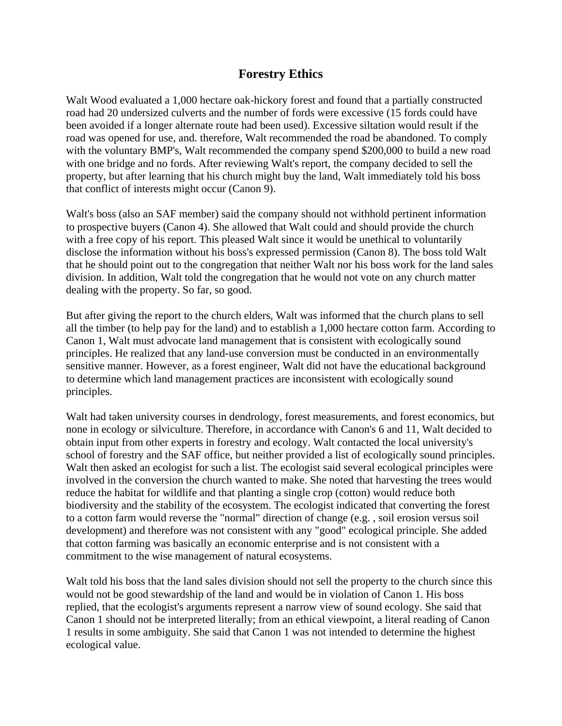## **Forestry Ethics**

Walt Wood evaluated a 1,000 hectare oak-hickory forest and found that a partially constructed road had 20 undersized culverts and the number of fords were excessive (15 fords could have been avoided if a longer alternate route had been used). Excessive siltation would result if the road was opened for use, and. therefore, Walt recommended the road be abandoned. To comply with the voluntary BMP's, Walt recommended the company spend \$200,000 to build a new road with one bridge and no fords. After reviewing Walt's report, the company decided to sell the property, but after learning that his church might buy the land, Walt immediately told his boss that conflict of interests might occur (Canon 9).

Walt's boss (also an SAF member) said the company should not withhold pertinent information to prospective buyers (Canon 4). She allowed that Walt could and should provide the church with a free copy of his report. This pleased Walt since it would be unethical to voluntarily disclose the information without his boss's expressed permission (Canon 8). The boss told Walt that he should point out to the congregation that neither Walt nor his boss work for the land sales division. In addition, Walt told the congregation that he would not vote on any church matter dealing with the property. So far, so good.

But after giving the report to the church elders, Walt was informed that the church plans to sell all the timber (to help pay for the land) and to establish a 1,000 hectare cotton farm. According to Canon 1, Walt must advocate land management that is consistent with ecologically sound principles. He realized that any land-use conversion must be conducted in an environmentally sensitive manner. However, as a forest engineer, Walt did not have the educational background to determine which land management practices are inconsistent with ecologically sound principles.

Walt had taken university courses in dendrology, forest measurements, and forest economics, but none in ecology or silviculture. Therefore, in accordance with Canon's 6 and 11, Walt decided to obtain input from other experts in forestry and ecology. Walt contacted the local university's school of forestry and the SAF office, but neither provided a list of ecologically sound principles. Walt then asked an ecologist for such a list. The ecologist said several ecological principles were involved in the conversion the church wanted to make. She noted that harvesting the trees would reduce the habitat for wildlife and that planting a single crop (cotton) would reduce both biodiversity and the stability of the ecosystem. The ecologist indicated that converting the forest to a cotton farm would reverse the "normal" direction of change (e.g. , soil erosion versus soil development) and therefore was not consistent with any "good" ecological principle. She added that cotton farming was basically an economic enterprise and is not consistent with a commitment to the wise management of natural ecosystems.

Walt told his boss that the land sales division should not sell the property to the church since this would not be good stewardship of the land and would be in violation of Canon 1. His boss replied, that the ecologist's arguments represent a narrow view of sound ecology. She said that Canon 1 should not be interpreted literally; from an ethical viewpoint, a literal reading of Canon 1 results in some ambiguity. She said that Canon 1 was not intended to determine the highest ecological value.